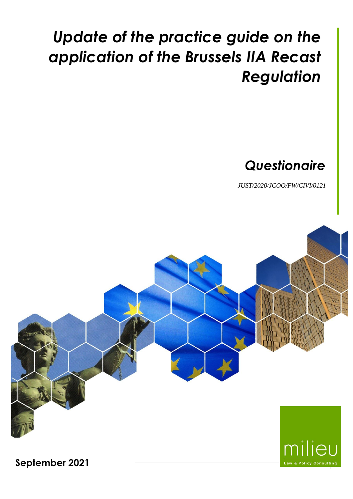# *Update of the practice guide on the application of the Brussels IIA Recast Regulation*

# *Questionaire*

*JUST/2020/JCOO/FW/CIVI/0121*

1



**September 2021**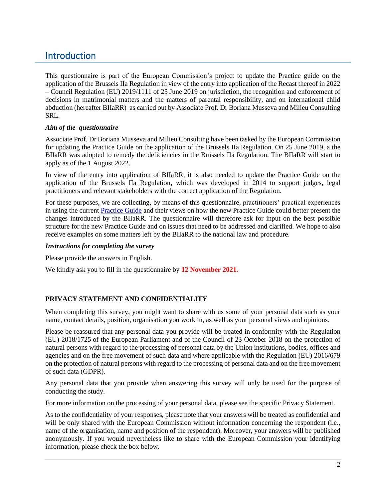## **Introduction**

This questionnaire is part of the European Commission's project to update the Practice guide on the application of the Brussels IIa Regulation in view of the entry into application of the Recast thereof in 2022 – Council Regulation (EU) 2019/1111 of 25 June 2019 on jurisdiction, the recognition and enforcement of decisions in matrimonial matters and the matters of parental responsibility, and on international child abduction (hereafter BIIaRR) as carried out by Associate Prof. Dr Boriana Musseva and Milieu Consulting SRL.

#### *Aim of the questionnaire*

Associate Prof. Dr Boriana Musseva and Milieu Consulting have been tasked by the European Commission for updating the Practice Guide on the application of the Brussels IIa Regulation. On 25 June 2019, a the BIIaRR was adopted to remedy the deficiencies in the Brussels IIa Regulation. The BIIaRR will start to apply as of the 1 August 2022.

In view of the entry into application of BIIaRR, it is also needed to update the Practice Guide on the application of the Brussels IIa Regulation, which was developed in 2014 to support judges, legal practitioners and relevant stakeholders with the correct application of the Regulation.

For these purposes, we are collecting, by means of this questionnaire, practitioners' practical experiences in using the current [Practice Guide](file:///C:/Users/searsan/Downloads/brussels_ii_practice_guide_EU_en%20(1).pdf) and their views on how the new Practice Guide could better present the changes introduced by the BIIaRR. The questionnaire will therefore ask for input on the best possible structure for the new Practice Guide and on issues that need to be addressed and clarified. We hope to also receive examples on some matters left by the BIIaRR to the national law and procedure.

#### *Instructions for completing the survey*

Please provide the answers in English.

We kindly ask you to fill in the questionnaire by **12 November 2021.**

#### **PRIVACY STATEMENT AND CONFIDENTIALITY**

When completing this survey, you might want to share with us some of your personal data such as your name, contact details, position, organisation you work in, as well as your personal views and opinions.

Please be reassured that any personal data you provide will be treated in conformity with the [Regulation](https://eur-lex.europa.eu/legal-content/EN/TXT/?uri=uriserv:OJ.L_.2018.295.01.0039.01.ENG&toc=OJ:L:2018:295:TOC)  [\(EU\) 2018/1725](https://eur-lex.europa.eu/legal-content/EN/TXT/?uri=uriserv:OJ.L_.2018.295.01.0039.01.ENG&toc=OJ:L:2018:295:TOC) of the European Parliament and of the Council of 23 October 2018 on the protection of natural persons with regard to the processing of personal data by the Union institutions, bodies, offices and agencies and on the free movement of such data and where applicable with the Regulation (EU) 2016/679 on the protection of natural persons with regard to the processing of personal data and on the free movement of such data (GDPR).

Any personal data that you provide when answering this survey will only be used for the purpose of conducting the study.

For more information on the processing of your personal data, please see the specific Privacy Statement.

As to the confidentiality of your responses, please note that your answers will be treated as confidential and will be only shared with the European Commission without information concerning the respondent (i.e., name of the organisation, name and position of the respondent). Moreover, your answers will be published anonymously. If you would nevertheless like to share with the European Commission your identifying information, please check the box below.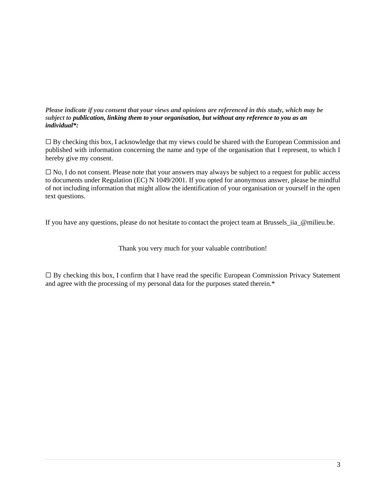#### *Please indicate if you consent that your views and opinions are referenced in this study, which may be subject to publication, linking them to your organisation, but without any reference to you as an individual\*:*

☐ By checking this box, I acknowledge that my views could be shared with the European Commission and published with information concerning the name and type of the organisation that I represent, to which I hereby give my consent.

☐ No, I do not consent. Please note that your answers may always be subject to a request for public access to documents under Regulation (EC) N 1049/2001. If you opted for anonymous answer, please be mindful of not including information that might allow the identification of your organisation or yourself in the open text questions.

If you have any questions, please do not hesitate to contact the project team at Brussels\_iia\_@milieu.be.

Thank you very much for your valuable contribution!

 $\Box$  By checking this box, I confirm that I have read the specific European Commission Privacy Statement and agree with the processing of my personal data for the purposes stated therein.\*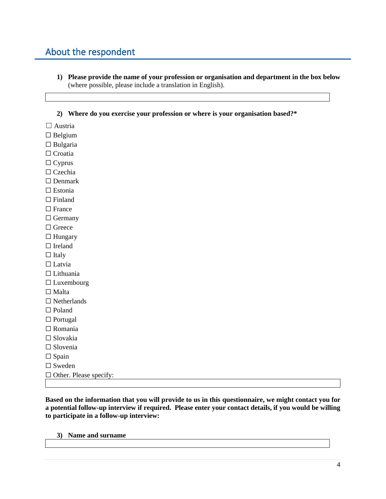## About the respondent

- **1) Please provide the name of your profession or organisation and department in the box below** (where possible, please include a translation in English).
- **2) Where do you exercise your profession or where is your organisation based?\***

 $\Box$  Austria

□ Belgium

 $\Box$  Bulgaria

□ Croatia

☐ Cyprus

□ Czechia

□ Denmark

☐ Estonia

□ Finland

- □ France
- □ Germany
- □ Greece
- $\Box$  Hungary
- $\Box$  Ireland

 $\Box$  Italy

- □ Latvia
- ☐ Lithuania
- ☐ Luxembourg
- □ Malta
- ☐ Netherlands

□ Poland

□ Portugal

☐ Romania ☐ Slovakia

□ Slovenia

 $\square$  Spain

□ Sweden

 $\Box$  Other. Please specify:

**Based on the information that you will provide to us in this questionnaire, we might contact you for a potential follow-up interview if required. Please enter your contact details, if you would be willing to participate in a follow-up interview:**

#### **3) Name and surname**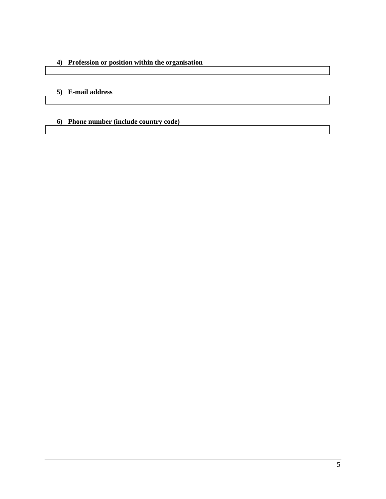#### **4) Profession or position within the organisation**

#### **5) E-mail address**

#### **6) Phone number (include country code)**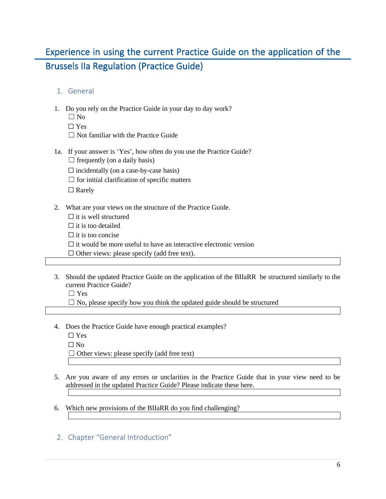# Experience in using the current Practice Guide on the application of the Brussels IIa Regulation (Practice Guide)

#### 1. General

- 1. Do you rely on the Practice Guide in your day to day work?
	- $\Box$  No
	- ☐ Yes
	- $\Box$  Not familiar with the Practice Guide
- 1a. If your answer is 'Yes', how often do you use the Practice Guide?  $\Box$  frequently (on a daily basis)
	- $\Box$  incidentally (on a case-by-case basis)
	- $\Box$  for initial clarification of specific matters

□ Rarely

- 2. What are your views on the structure of the Practice Guide.
	- $\Box$  it is well structured
	- $\square$  it is too detailed

 $\Box$  it is too concise

 $\Box$  it would be more useful to have an interactive electronic version

- $\Box$  Other views: please specify (add free text).
- 3. Should the updated Practice Guide on the application of the BIIaRR be structured similarly to the current Practice Guide?

☐ Yes

 $\Box$  No, please specify how you think the updated guide should be structured

- 4. Does the Practice Guide have enough practical examples?
	- ☐ Yes  $\Box$  No  $\Box$  Other views: please specify (add free text)
- 5. Are you aware of any errors or unclarities in the Practice Guide that in your view need to be addressed in the updated Practice Guide? Please indicate these here.
- 6. Which new provisions of the BIIaRR do you find challenging?
- 2. Chapter "General Introduction"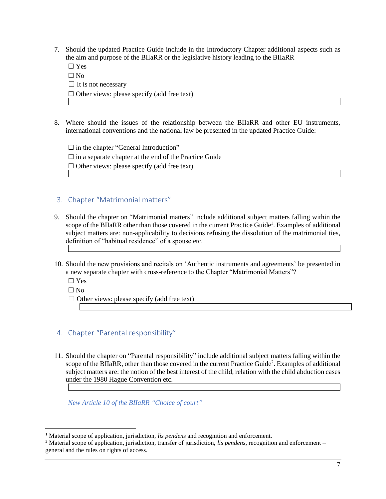7. Should the updated Practice Guide include in the Introductory Chapter additional aspects such as the aim and purpose of the BIIaRR or the legislative history leading to the BIIaRR

☐ Yes  $\Box$  No  $\Box$  It is not necessary  $\Box$  Other views: please specify (add free text)

8. Where should the issues of the relationship between the BIIaRR and other EU instruments, international conventions and the national law be presented in the updated Practice Guide:

 $\Box$  in the chapter "General Introduction"  $\Box$  in a separate chapter at the end of the Practice Guide  $\Box$  Other views: please specify (add free text)

#### 3. Chapter "Matrimonial matters"

- 9. Should the chapter on "Matrimonial matters" include additional subject matters falling within the scope of the BIIaRR other than those covered in the current Practice Guide<sup>1</sup>. Examples of additional subject matters are: non-applicability to decisions refusing the dissolution of the matrimonial ties, definition of "habitual residence" of a spouse etc.
- 10. Should the new provisions and recitals on 'Authentic instruments and agreements' be presented in a new separate chapter with cross-reference to the Chapter "Matrimonial Matters"?
	- ☐ Yes
	- $\Box$  No
	- $\Box$  Other views: please specify (add free text)

#### 4. Chapter "Parental responsibility"

11. Should the chapter on "Parental responsibility" include additional subject matters falling within the scope of the BIIaRR, other than those covered in the current Practice Guide<sup>2</sup>. Examples of additional subject matters are: the notion of the best interest of the child, relation with the child abduction cases under the 1980 Hague Convention etc.

*New Article 10 of the BIIaRR "Choice of court"*

<sup>&</sup>lt;sup>1</sup> Material scope of application, jurisdiction, *lis pendens* and recognition and enforcement.

<sup>2</sup> Material scope of application, jurisdiction, transfer of jurisdiction, *lis pendens*, recognition and enforcement – general and the rules on rights of access.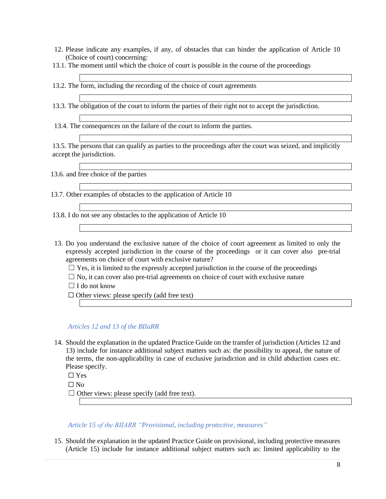- 12. Please indicate any examples, if any, of obstacles that can hinder the application of Article 10 (Choice of court) concerning:
- 13.1. The moment until which the choice of court is possible in the course of the proceedings

13.2. The form, including the recording of the choice of court agreements

13.3. The obligation of the court to inform the parties of their right not to accept the jurisdiction.

13.4. The consequences on the failure of the court to inform the parties.

13.5. The persons that can qualify as parties to the proceedings after the court was seized, and implicitly accept the jurisdiction.

13.6. and free choice of the parties

13.7. Other examples of obstacles to the application of Article 10

13.8. I do not see any obstacles to the application of Article 10

- 13. Do you understand the exclusive nature of the choice of court agreement as limited to only the expressly accepted jurisdiction in the course of the proceedings or it can cover also pre-trial agreements on choice of court with exclusive nature?
	- $\Box$  Yes, it is limited to the expressly accepted jurisdiction in the course of the proceedings
	- $\Box$  No, it can cover also pre-trial agreements on choice of court with exclusive nature
	- $\Box$  I do not know

☐ Other views: please specify (add free text)

#### *Articles 12 and 13 of the BIIaRR*

14. Should the explanation in the updated Practice Guide on the transfer of jurisdiction (Articles 12 and 13) include for instance additional subject matters such as: the possibility to appeal, the nature of the terms, the non-applicability in case of exclusive jurisdiction and in child abduction cases etc. Please specify.

 $\Box$  Yes

 $\Box$  No

 $\Box$  Other views: please specify (add free text).

*Article 15 of the BIIARR "Provisional, including protective, measures"* 

15. Should the explanation in the updated Practice Guide on provisional, including protective measures (Article 15) include for instance additional subject matters such as: limited applicability to the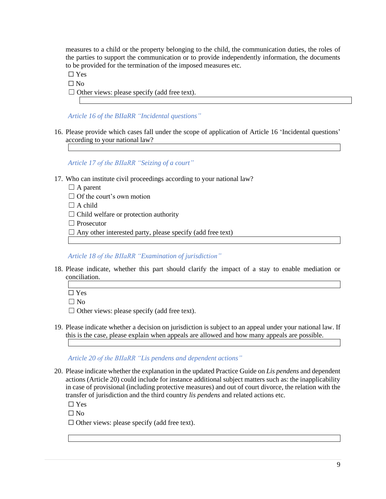measures to a child or the property belonging to the child, the communication duties, the roles of the parties to support the communication or to provide independently information, the documents to be provided for the termination of the imposed measures etc.

 $\Box$  Yes

 $\Box$  No

 $\Box$  Other views: please specify (add free text).

*Article 16 of the BIIaRR "Incidental questions"*

16. Please provide which cases fall under the scope of application of Article 16 'Incidental questions' according to your national law?

*Article 17 of the BIIaRR "Seizing of a court"*

- 17. Who can institute civil proceedings according to your national law?
	- $\Box$  A parent
	- $\Box$  Of the court's own motion
	- $\Box$  A child
	- $\Box$  Child welfare or protection authority
	- ☐ Prosecutor
	- $\Box$  Any other interested party, please specify (add free text)

*Article 18 of the BIIaRR "Examination of jurisdiction"*

- 18. Please indicate, whether this part should clarify the impact of a stay to enable mediation or conciliation.
	- $\Box$  Yes

 $\Box$  No

 $\Box$  Other views: please specify (add free text).

19. Please indicate whether a decision on jurisdiction is subject to an appeal under your national law. If this is the case, please explain when appeals are allowed and how many appeals are possible.

*Article 20 of the BIIaRR "Lis pendens and dependent actions"*

20. Please indicate whether the explanation in the updated Practice Guide on *Lis pendens* and dependent actions (Article 20) could include for instance additional subject matters such as: the inapplicability in case of provisional (including protective measures) and out of court divorce, the relation with the transfer of jurisdiction and the third country *lis pendens* and related actions etc.

 $\Box$  Yes

 $\square$  No

 $\Box$  Other views: please specify (add free text).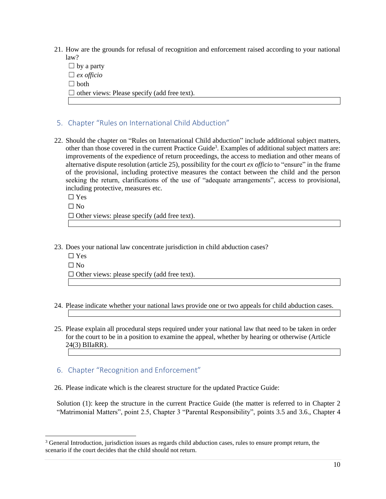- 21. How are the grounds for refusal of recognition and enforcement raised according to your national law?
	- $\Box$  by a party ☐ *ex officio* ☐ both  $\Box$  other views: Please specify (add free text).
- 5. Chapter "Rules on International Child Abduction"
- 22. Should the chapter on "Rules on International Child abduction" include additional subject matters, other than those covered in the current Practice Guide<sup>3</sup>. Examples of additional subject matters are: improvements of the expedience of return proceedings, the access to mediation and other means of alternative dispute resolution (article 25), possibility for the court *ex officio* to "ensure" in the frame of the provisional, including protective measures the contact between the child and the person seeking the return, clarifications of the use of "adequate arrangements", access to provisional, including protective, measures etc.

☐ Yes

 $\Box$  No

 $\Box$  Other views: please specify (add free text).

23. Does your national law concentrate jurisdiction in child abduction cases?

☐ Yes

 $\Box$  No

 $\Box$  Other views: please specify (add free text).

- 24. Please indicate whether your national laws provide one or two appeals for child abduction cases.
- 25. Please explain all procedural steps required under your national law that need to be taken in order for the court to be in a position to examine the appeal, whether by hearing or otherwise (Article 24(3) BIIaRR).

#### 6. Chapter "Recognition and Enforcement"

26. Please indicate which is the clearest structure for the updated Practice Guide:

Solution (1): keep the structure in the current Practice Guide (the matter is referred to in Chapter 2 "Matrimonial Matters", point 2.5, Chapter 3 "Parental Responsibility", points 3.5 and 3.6., Chapter 4

<sup>&</sup>lt;sup>3</sup> General Introduction, jurisdiction issues as regards child abduction cases, rules to ensure prompt return, the scenario if the court decides that the child should not return.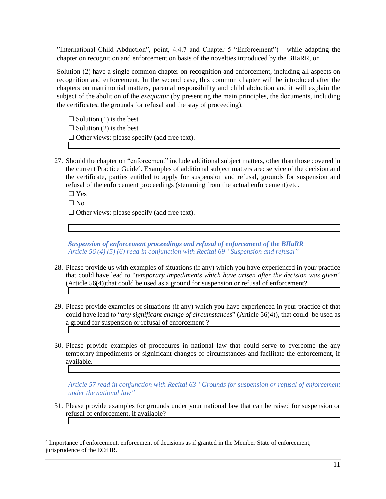"International Child Abduction", point, 4.4.7 and Chapter 5 "Enforcement") - while adapting the chapter on recognition and enforcement on basis of the novelties introduced by the BIIaRR, or

Solution (2) have a single common chapter on recognition and enforcement, including all aspects on recognition and enforcement. In the second case, this common chapter will be introduced after the chapters on matrimonial matters, parental responsibility and child abduction and it will explain the subject of the abolition of the *exequatur* (by presenting the main principles, the documents, including the certificates, the grounds for refusal and the stay of proceeding).

 $\Box$  Solution (1) is the best  $\Box$  Solution (2) is the best  $\Box$  Other views: please specify (add free text).

27. Should the chapter on "enforcement" include additional subject matters, other than those covered in the current Practice Guide<sup>4</sup>. Examples of additional subject matters are: service of the decision and the certificate, parties entitled to apply for suspension and refusal, grounds for suspension and refusal of the enforcement proceedings (stemming from the actual enforcement) etc.

☐ Yes

 $\Box$  No

 $\Box$  Other views: please specify (add free text).

*Suspension of enforcement proceedings and refusal of enforcement of the BIIaRR Article 56 (4) (5) (6) read in conjunction with Recital 69 "Suspension and refusal"*

- 28. Please provide us with examples of situations (if any) which you have experienced in your practice that could have lead to "*temporary impediments which have arisen after the decision was given*" (Article 56(4))that could be used as a ground for suspension or refusal of enforcement?
- 29. Please provide examples of situations (if any) which you have experienced in your practice of that could have lead to "*any significant change of circumstances*" (Article 56(4)), that could be used as a ground for suspension or refusal of enforcement ?
- 30. Please provide examples of procedures in national law that could serve to overcome the any temporary impediments or significant changes of circumstances and facilitate the enforcement, if available.

*Article 57 read in conjunction with Recital 63 "Grounds for suspension or refusal of enforcement under the national law"*

31. Please provide examples for grounds under your national law that can be raised for suspension or refusal of enforcement, if available?

<sup>4</sup> Importance of enforcement, enforcement of decisions as if granted in the Member State of enforcement, jurisprudence of the ECtHR.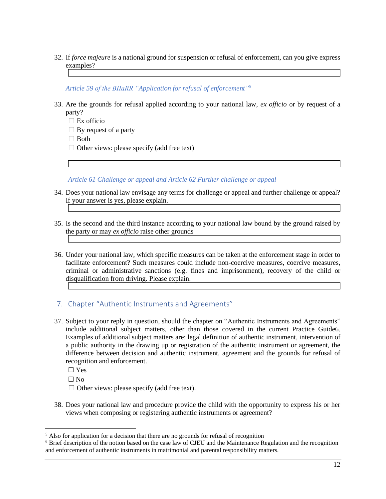32. If *force majeure* is a national ground for suspension or refusal of enforcement, can you give express examples?

*Article 59 of the BIIaRR "Application for refusal of enforcement" 5*

33. Are the grounds for refusal applied according to your national law, *ex officio* or by request of a party?

 $\square$  Ex officio

 $\Box$  By request of a party

☐ Both

 $\Box$  Other views: please specify (add free text)

*Article 61 Challenge or appeal and Article 62 Further challenge or appeal*

- 34. Does your national law envisage any terms for challenge or appeal and further challenge or appeal? If your answer is yes, please explain.
- 35. Is the second and the third instance according to your national law bound by the ground raised by the party or may *ex officio* raise other grounds
- 36. Under your national law, which specific measures can be taken at the enforcement stage in order to facilitate enforcement? Such measures could include non-coercive measures, coercive measures, criminal or administrative sanctions (e.g. fines and imprisonment), recovery of the child or disqualification from driving. Please explain.

#### 7. Chapter "Authentic Instruments and Agreements"

37. Subject to your reply in question, should the chapter on "Authentic Instruments and Agreements" include additional subject matters, other than those covered in the current Practice Guide6. Examples of additional subject matters are: legal definition of authentic instrument, intervention of a public authority in the drawing up or registration of the authentic instrument or agreement, the difference between decision and authentic instrument, agreement and the grounds for refusal of recognition and enforcement.

 $\Box$  Yes

 $\Box$  No

 $\Box$  Other views: please specify (add free text).

38. Does your national law and procedure provide the child with the opportunity to express his or her views when composing or registering authentic instruments or agreement?

<sup>5</sup> Also for application for a decision that there are no grounds for refusal of recognition

<sup>6</sup> Brief description of the notion based on the case law of CJEU and the Maintenance Regulation and the recognition and enforcement of authentic instruments in matrimonial and parental responsibility matters.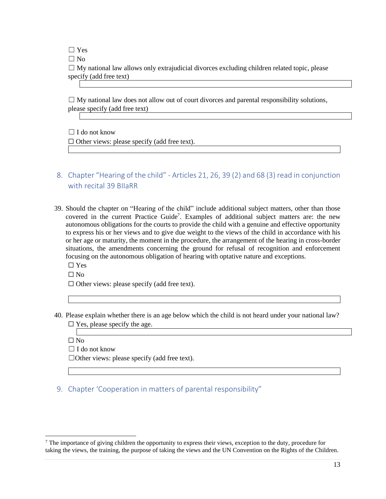$\Box$  Yes

 $\Box$  No

 $\Box$  My national law allows only extrajudicial divorces excluding children related topic, please specify (add free text)

 $\Box$  My national law does not allow out of court divorces and parental responsibility solutions, please specify (add free text)

 $\Box$  I do not know

☐ Other views: please specify (add free text).

- 8. Chapter "Hearing of the child" Articles 21, 26, 39 (2) and 68 (3) read in conjunction with recital 39 BIIaRR
- 39. Should the chapter on "Hearing of the child" include additional subject matters, other than those covered in the current Practice Guide<sup>7</sup>. Examples of additional subject matters are: the new autonomous obligations for the courts to provide the child with a genuine and effective opportunity to express his or her views and to give due weight to the views of the child in accordance with his or her age or maturity, the moment in the procedure, the arrangement of the hearing in cross-border situations, the amendments concerning the ground for refusal of recognition and enforcement focusing on the autonomous obligation of hearing with optative nature and exceptions. ☐ Yes
	-
	- $\square$  No

 $\Box$  Other views: please specify (add free text).

40. Please explain whether there is an age below which the child is not heard under your national law?  $\Box$  Yes, please specify the age.

 $\square$  No

☐ I do not know

☐Other views: please specify (add free text).

9. Chapter 'Cooperation in matters of parental responsibility"

 $7$  The importance of giving children the opportunity to express their views, exception to the duty, procedure for taking the views, the training, the purpose of taking the views and the UN Convention on the Rights of the Children.